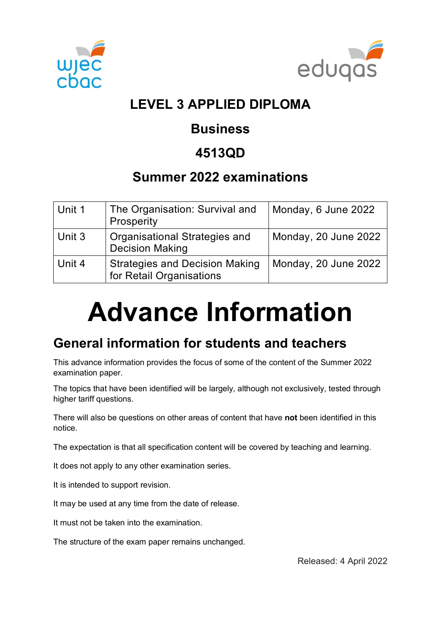



# **LEVEL 3 APPLIED DIPLOMA**

### **Business**

### **4513QD**

### **Summer 2022 examinations**

| Unit 1 | The Organisation: Survival and<br>Prosperity                      | Monday, 6 June 2022  |
|--------|-------------------------------------------------------------------|----------------------|
| Unit 3 | <b>Organisational Strategies and</b><br><b>Decision Making</b>    | Monday, 20 June 2022 |
| Unit 4 | <b>Strategies and Decision Making</b><br>for Retail Organisations | Monday, 20 June 2022 |

# **Advance Information**

### **General information for students and teachers**

This advance information provides the focus of some of the content of the Summer 2022 examination paper.

The topics that have been identified will be largely, although not exclusively, tested through higher tariff questions.

There will also be questions on other areas of content that have **not** been identified in this notice.

The expectation is that all specification content will be covered by teaching and learning.

It does not apply to any other examination series.

It is intended to support revision.

It may be used at any time from the date of release.

It must not be taken into the examination.

The structure of the exam paper remains unchanged.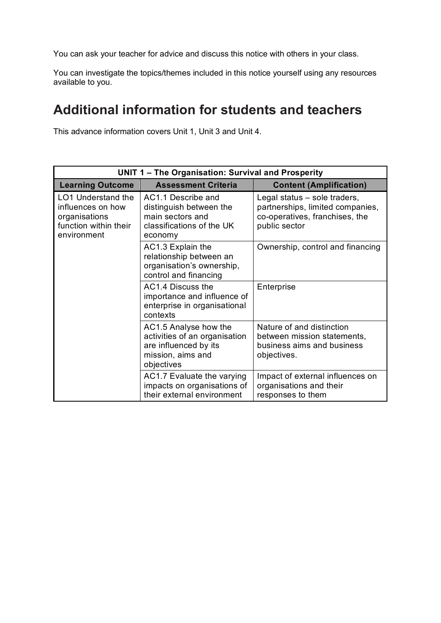You can ask your teacher for advice and discuss this notice with others in your class.

You can investigate the topics/themes included in this notice yourself using any resources available to you.

### **Additional information for students and teachers**

This advance information covers Unit 1, Unit 3 and Unit 4.

| UNIT 1 - The Organisation: Survival and Prosperity                                                      |                                                                                                                    |                                                                                                                     |  |  |
|---------------------------------------------------------------------------------------------------------|--------------------------------------------------------------------------------------------------------------------|---------------------------------------------------------------------------------------------------------------------|--|--|
| <b>Learning Outcome</b>                                                                                 | <b>Assessment Criteria</b>                                                                                         | <b>Content (Amplification)</b>                                                                                      |  |  |
| <b>LO1 Understand the</b><br>influences on how<br>organisations<br>function within their<br>environment | AC1.1 Describe and<br>distinguish between the<br>main sectors and<br>classifications of the UK<br>economy          | Legal status – sole traders,<br>partnerships, limited companies,<br>co-operatives, franchises, the<br>public sector |  |  |
|                                                                                                         | AC1.3 Explain the<br>relationship between an<br>organisation's ownership,<br>control and financing                 | Ownership, control and financing                                                                                    |  |  |
|                                                                                                         | AC1.4 Discuss the<br>importance and influence of<br>enterprise in organisational<br>contexts                       | Enterprise                                                                                                          |  |  |
|                                                                                                         | AC1.5 Analyse how the<br>activities of an organisation<br>are influenced by its<br>mission, aims and<br>objectives | Nature of and distinction<br>between mission statements,<br>business aims and business<br>objectives.               |  |  |
|                                                                                                         | AC1.7 Evaluate the varying<br>impacts on organisations of<br>their external environment                            | Impact of external influences on<br>organisations and their<br>responses to them                                    |  |  |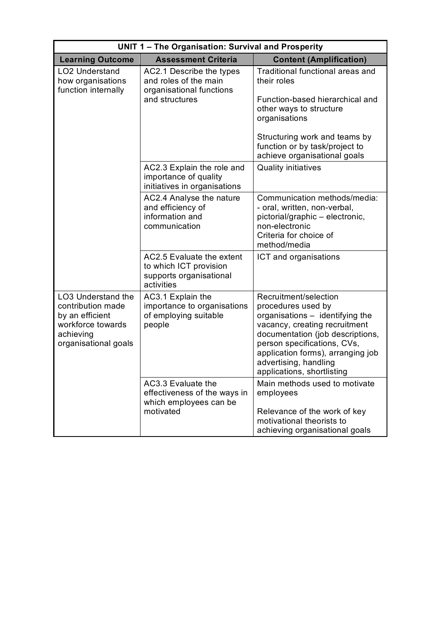| <b>UNIT 1 - The Organisation: Survival and Prosperity</b>                                                            |                                                                                                 |                                                                                                                                                                                                                                                                                |  |  |
|----------------------------------------------------------------------------------------------------------------------|-------------------------------------------------------------------------------------------------|--------------------------------------------------------------------------------------------------------------------------------------------------------------------------------------------------------------------------------------------------------------------------------|--|--|
| <b>Learning Outcome</b>                                                                                              | <b>Assessment Criteria</b>                                                                      | <b>Content (Amplification)</b>                                                                                                                                                                                                                                                 |  |  |
| <b>LO2 Understand</b><br>how organisations<br>function internally                                                    | AC2.1 Describe the types<br>and roles of the main<br>organisational functions<br>and structures | Traditional functional areas and<br>their roles                                                                                                                                                                                                                                |  |  |
|                                                                                                                      |                                                                                                 | Function-based hierarchical and<br>other ways to structure<br>organisations                                                                                                                                                                                                    |  |  |
|                                                                                                                      |                                                                                                 | Structuring work and teams by<br>function or by task/project to<br>achieve organisational goals                                                                                                                                                                                |  |  |
|                                                                                                                      | AC2.3 Explain the role and<br>importance of quality<br>initiatives in organisations             | <b>Quality initiatives</b>                                                                                                                                                                                                                                                     |  |  |
|                                                                                                                      | AC2.4 Analyse the nature<br>and efficiency of<br>information and<br>communication               | Communication methods/media:<br>- oral, written, non-verbal,<br>pictorial/graphic - electronic,<br>non-electronic<br>Criteria for choice of<br>method/media                                                                                                                    |  |  |
|                                                                                                                      | AC2.5 Evaluate the extent<br>to which ICT provision<br>supports organisational<br>activities    | ICT and organisations                                                                                                                                                                                                                                                          |  |  |
| LO3 Understand the<br>contribution made<br>by an efficient<br>workforce towards<br>achieving<br>organisational goals | AC3.1 Explain the<br>importance to organisations<br>of employing suitable<br>people             | Recruitment/selection<br>procedures used by<br>organisations - identifying the<br>vacancy, creating recruitment<br>documentation (job descriptions,<br>person specifications, CVs,<br>application forms), arranging job<br>advertising, handling<br>applications, shortlisting |  |  |
|                                                                                                                      | AC3.3 Evaluate the<br>effectiveness of the ways in<br>which employees can be<br>motivated       | Main methods used to motivate<br>employees<br>Relevance of the work of key<br>motivational theorists to<br>achieving organisational goals                                                                                                                                      |  |  |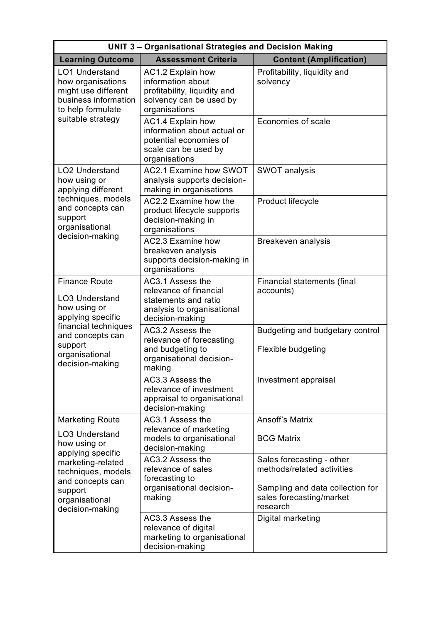| <b>UNIT 3 - Organisational Strategies and Decision Making</b>                                                  |                                                                                                                     |                                                                                                                                     |  |  |
|----------------------------------------------------------------------------------------------------------------|---------------------------------------------------------------------------------------------------------------------|-------------------------------------------------------------------------------------------------------------------------------------|--|--|
| <b>Learning Outcome</b>                                                                                        | <b>Assessment Criteria</b>                                                                                          | <b>Content (Amplification)</b>                                                                                                      |  |  |
| <b>LO1 Understand</b><br>how organisations<br>might use different<br>business information<br>to help formulate | AC1.2 Explain how<br>information about<br>profitability, liquidity and<br>solvency can be used by<br>organisations  | Profitability, liquidity and<br>solvency                                                                                            |  |  |
| suitable strategy                                                                                              | AC1.4 Explain how<br>information about actual or<br>potential economies of<br>scale can be used by<br>organisations | Economies of scale                                                                                                                  |  |  |
| <b>LO2 Understand</b><br>how using or<br>applying different                                                    | AC2.1 Examine how SWOT<br>analysis supports decision-<br>making in organisations                                    | <b>SWOT analysis</b>                                                                                                                |  |  |
| techniques, models<br>and concepts can<br>support<br>organisational                                            | AC2.2 Examine how the<br>product lifecycle supports<br>decision-making in<br>organisations                          | Product lifecycle                                                                                                                   |  |  |
| decision-making                                                                                                | AC2.3 Examine how<br>breakeven analysis<br>supports decision-making in<br>organisations                             | Breakeven analysis                                                                                                                  |  |  |
| <b>Finance Route</b><br><b>LO3 Understand</b><br>how using or<br>applying specific                             | AC3.1 Assess the<br>relevance of financial<br>statements and ratio<br>analysis to organisational<br>decision-making | Financial statements (final<br>accounts)                                                                                            |  |  |
| financial techniques<br>and concepts can<br>support<br>organisational<br>decision-making                       | AC3.2 Assess the<br>relevance of forecasting<br>and budgeting to<br>organisational decision-<br>making              | Budgeting and budgetary control<br>Flexible budgeting                                                                               |  |  |
|                                                                                                                | AC3.3 Assess the<br>relevance of investment<br>appraisal to organisational<br>decision-making                       | Investment appraisal                                                                                                                |  |  |
| <b>Marketing Route</b><br><b>LO3 Understand</b><br>how using or<br>applying specific                           | AC3.1 Assess the<br>relevance of marketing<br>models to organisational<br>decision-making                           | <b>Ansoff's Matrix</b><br><b>BCG Matrix</b>                                                                                         |  |  |
| marketing-related<br>techniques, models<br>and concepts can<br>support<br>organisational<br>decision-making    | AC3.2 Assess the<br>relevance of sales<br>forecasting to<br>organisational decision-<br>making                      | Sales forecasting - other<br>methods/related activities<br>Sampling and data collection for<br>sales forecasting/market<br>research |  |  |
|                                                                                                                | AC3.3 Assess the<br>relevance of digital<br>marketing to organisational<br>decision-making                          | Digital marketing                                                                                                                   |  |  |